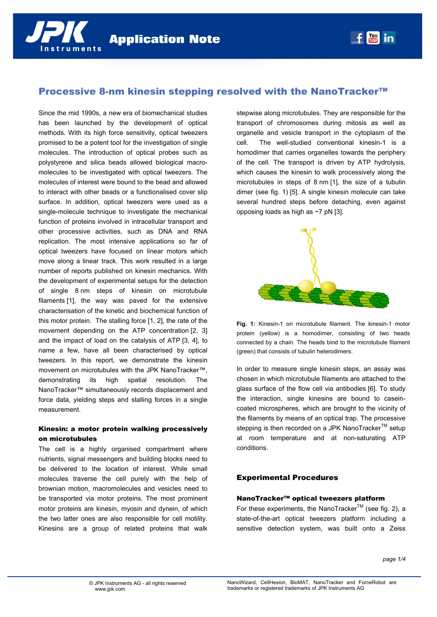

# Processive 8-nm kinesin stepping resolved with the NanoTracker™

Since the mid 1990s, a new era of biomechanical studies has been launched by the development of optical methods. With its high force sensitivity, optical tweezers promised to be a potent tool for the investigation of single molecules. The introduction of optical probes such as polystyrene and silica beads allowed biological macromolecules to be investigated with optical tweezers. The molecules of interest were bound to the bead and allowed to interact with other beads or a functionalised cover slip surface. In addition, optical tweezers were used as a single-molecule technique to investigate the mechanical function of proteins involved in intracellular transport and other processive activities, such as DNA and RNA replication. The most intensive applications so far of optical tweezers have focused on linear motors which move along a linear track. This work resulted in a large number of reports published on kinesin mechanics. With the development of experimental setups for the detection of single 8 nm steps of kinesin on microtubule filaments [1], the way was paved for the extensive characterisation of the kinetic and biochemical function of this motor protein. The stalling force [1, 2], the rate of the movement depending on the ATP concentration [2, 3] and the impact of load on the catalysis of ATP [3, 4], to name a few, have all been characterised by optical tweezers. In this report, we demonstrate the kinesin movement on microtubules with the JPK NanoTracker™, demonstrating its high spatial resolution. The NanoTracker™ simultaneously records displacement and force data, yielding steps and stalling forces in a single measurement.

## Kinesin: a motor protein walking processively on microtubules

The cell is a highly organised compartment where nutrients, signal messengers and building blocks need to be delivered to the location of interest. While small molecules traverse the cell purely with the help of brownian motion, macromolecules and vesicles need to be transported via motor proteins. The most prominent motor proteins are kinesin, myosin and dynein, of which the two latter ones are also responsible for cell motility. Kinesins are a group of related proteins that walk

stepwise along microtubules. They are responsible for the transport of chromosomes during mitosis as well as organelle and vesicle transport in the cytoplasm of the cell. The well-studied conventional kinesin-1 is a homodimer that carries organelles towards the periphery of the cell. The transport is driven by ATP hydrolysis, which causes the kinesin to walk processively along the microtubules in steps of 8 nm [1], the size of a tubulin dimer (see fig. 1) [5]. A single kinesin molecule can take several hundred steps before detaching, even against opposing loads as high as ~7 pN [3].

 $f_{\text{max}}^{\text{You}}$  in



**Fig. 1:** Kinesin-1 on microtubule filament. The kinesin-1 motor protein (yellow) is a homodimer, consisting of two heads connected by a chain. The heads bind to the microtubule filament (green) that consists of tubulin heterodimers.

In order to measure single kinesin steps, an assay was chosen in which microtubule filaments are attached to the glass surface of the flow cell via antibodies [6]. To study the interaction, single kinesins are bound to caseincoated microspheres, which are brought to the vicinity of the filaments by means of an optical trap. The processive stepping is then recorded on a JPK NanoTracker™ setup at room temperature and at non-saturating ATP conditions.

### Experimental Procedures

### NanoTracker™ optical tweezers platform

For these experiments, the NanoTracker™ (see fig. 2), a state-of-the-art optical tweezers platform including a sensitive detection system, was built onto a Zeiss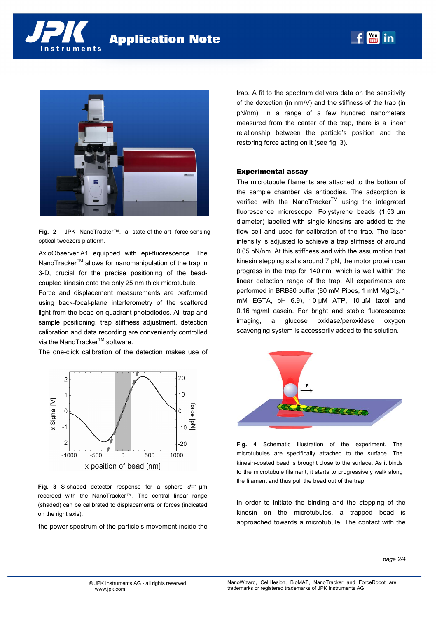





**Fig. 2** JPK NanoTracker™, a state-of-the-art force-sensing optical tweezers platform.

AxioObserver.A1 equipped with epi-fluorescence. The NanoTracker<sup>™</sup> allows for nanomanipulation of the trap in 3-D, crucial for the precise positioning of the beadcoupled kinesin onto the only 25 nm thick microtubule.

Force and displacement measurements are performed using back-focal-plane interferometry of the scattered light from the bead on quadrant photodiodes. All trap and sample positioning, trap stiffness adjustment, detection calibration and data recording are conveniently controlled via the NanoTracker™ software.

The one-click calibration of the detection makes use of



**Fig. 3** S-shaped detector response for a sphere *d*=1 µm recorded with the NanoTracker™. The central linear range (shaded) can be calibrated to displacements or forces (indicated on the right axis).

the power spectrum of the particle's movement inside the

trap. A fit to the spectrum delivers data on the sensitivity of the detection (in nm/V) and the stiffness of the trap (in pN/nm). In a range of a few hundred nanometers measured from the center of the trap, there is a linear relationship between the particle's position and the restoring force acting on it (see fig. 3).

#### Experimental assay

The microtubule filaments are attached to the bottom of the sample chamber via antibodies. The adsorption is verified with the NanoTracker™ using the integrated fluorescence microscope. Polystyrene beads (1.53 µm diameter) labelled with single kinesins are added to the flow cell and used for calibration of the trap. The laser intensity is adjusted to achieve a trap stiffness of around 0.05 pN/nm. At this stiffness and with the assumption that kinesin stepping stalls around 7 pN, the motor protein can progress in the trap for 140 nm, which is well within the linear detection range of the trap. All experiments are performed in BRB80 buffer (80 mM Pipes, 1 mM MgCl<sub>2</sub>, 1 mM EGTA, pH 6.9), 10 µM ATP, 10 µM taxol and 0.16 mg/ml casein. For bright and stable fluorescence imaging, a glucose oxidase/peroxidase oxygen scavenging system is accessorily added to the solution.



**Fig. 4** Schematic illustration of the experiment. The microtubules are specifically attached to the surface. The kinesin-coated bead is brought close to the surface. As it binds to the microtubule filament, it starts to progressively walk along the filament and thus pull the bead out of the trap.

In order to initiate the binding and the stepping of the kinesin on the microtubules, a trapped bead is approached towards a microtubule. The contact with the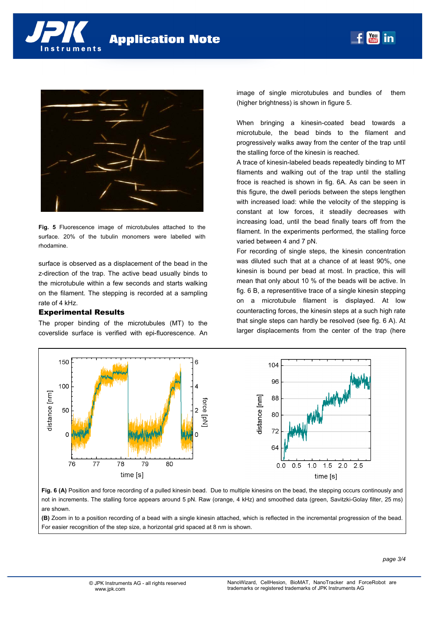

**Fig. 5** Fluorescence image of microtubules attached to the surface. 20% of the tubulin monomers were labelled with rhodamine.

surface is observed as a displacement of the bead in the z-direction of the trap. The active bead usually binds to the microtubule within a few seconds and starts walking on the filament. The stepping is recorded at a sampling rate of 4 kHz.

# Experimental Results

The proper binding of the microtubules (MT) to the coverslide surface is verified with epi-fluorescence. An image of single microtubules and bundles of them (higher brightness) is shown in figure 5.

 $f_{\text{max}}$  in

When bringing a kinesin-coated bead towards a microtubule, the bead binds to the filament and progressively walks away from the center of the trap until the stalling force of the kinesin is reached.

A trace of kinesin-labeled beads repeatedly binding to MT filaments and walking out of the trap until the stalling froce is reached is shown in fig. 6A. As can be seen in this figure, the dwell periods between the steps lengthen with increased load: while the velocity of the stepping is constant at low forces, it steadily decreases with increasing load, until the bead finally tears off from the filament. In the experiments performed, the stalling force varied between 4 and 7 pN.

For recording of single steps, the kinesin concentration was diluted such that at a chance of at least 90%, one kinesin is bound per bead at most. In practice, this will mean that only about 10 % of the beads will be active. In fig. 6 B, a representitive trace of a single kinesin stepping on a microtubule filament is displayed. At low counteracting forces, the kinesin steps at a such high rate that single steps can hardly be resolved (see fig. 6 A). At larger displacements from the center of the trap (here



**Fig. 6 (A)** Position and force recording of a pulled kinesin bead. Due to multiple kinesins on the bead, the stepping occurs continously and not in increments. The stalling force appears around 5 pN. Raw (orange, 4 kHz) and smoothed data (green, Savitzki-Golay filter, 25 ms) are shown.

**(B)** Zoom in to a position recording of a bead with a single kinesin attached, which is reflected in the incremental progression of the bead. For easier recognition of the step size, a horizontal grid spaced at 8 nm is shown.